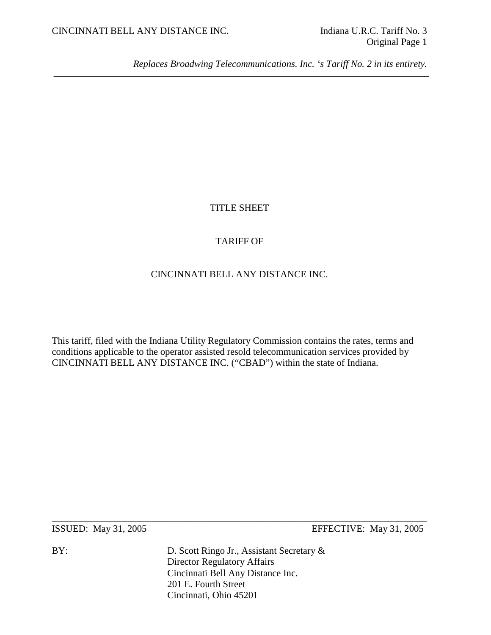*Replaces Broadwing Telecommunications. Inc. 's Tariff No. 2 in its entirety.*

# TITLE SHEET

# TARIFF OF

# CINCINNATI BELL ANY DISTANCE INC.

This tariff, filed with the Indiana Utility Regulatory Commission contains the rates, terms and conditions applicable to the operator assisted resold telecommunication services provided by CINCINNATI BELL ANY DISTANCE INC. ("CBAD") within the state of Indiana.

\_\_\_\_\_\_\_\_\_\_\_\_\_\_\_\_\_\_\_\_\_\_\_\_\_\_\_\_\_\_\_\_\_\_\_\_\_\_\_\_\_\_\_\_\_\_\_\_\_\_\_\_\_\_\_\_\_\_\_\_\_\_\_\_\_\_\_\_\_\_\_\_\_\_\_\_\_\_

ISSUED: May 31, 2005 EFFECTIVE: May 31, 2005

BY: D. Scott Ringo Jr., Assistant Secretary & Director Regulatory Affairs Cincinnati Bell Any Distance Inc. 201 E. Fourth Street Cincinnati, Ohio 45201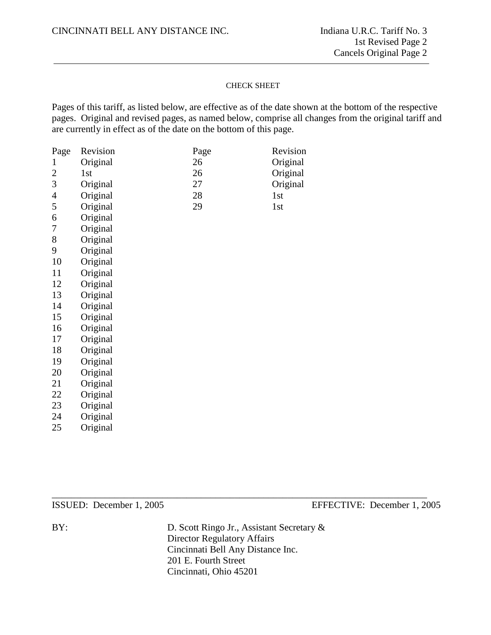#### CHECK SHEET

Pages of this tariff, as listed below, are effective as of the date shown at the bottom of the respective pages. Original and revised pages, as named below, comprise all changes from the original tariff and are currently in effect as of the date on the bottom of this page.

| Page           | Revision | Page | Revision |
|----------------|----------|------|----------|
| 1              | Original | 26   | Original |
| $\overline{2}$ | 1st      | 26   | Original |
| 3              | Original | 27   | Original |
| $\overline{4}$ | Original | 28   | 1st      |
| 5              | Original | 29   | 1st      |
| 6              | Original |      |          |
| 7              | Original |      |          |
| 8              | Original |      |          |
| 9              | Original |      |          |
| 10             | Original |      |          |
| 11             | Original |      |          |
| 12             | Original |      |          |
| 13             | Original |      |          |
| 14             | Original |      |          |
| 15             | Original |      |          |
| 16             | Original |      |          |
| 17             | Original |      |          |
| 18             | Original |      |          |
| 19             | Original |      |          |
| 20             | Original |      |          |
| 21             | Original |      |          |
| 22             | Original |      |          |
| 23             | Original |      |          |

Original

Original

\_\_\_\_\_\_\_\_\_\_\_\_\_\_\_\_\_\_\_\_\_\_\_\_\_\_\_\_\_\_\_\_\_\_\_\_\_\_\_\_\_\_\_\_\_\_\_\_\_\_\_\_\_\_\_\_\_\_\_\_\_\_\_\_\_\_\_\_\_\_\_\_\_\_\_\_\_\_

ISSUED: December 1, 2005 EFFECTIVE: December 1, 2005

BY: D. Scott Ringo Jr., Assistant Secretary & Director Regulatory Affairs Cincinnati Bell Any Distance Inc. 201 E. Fourth Street Cincinnati, Ohio 45201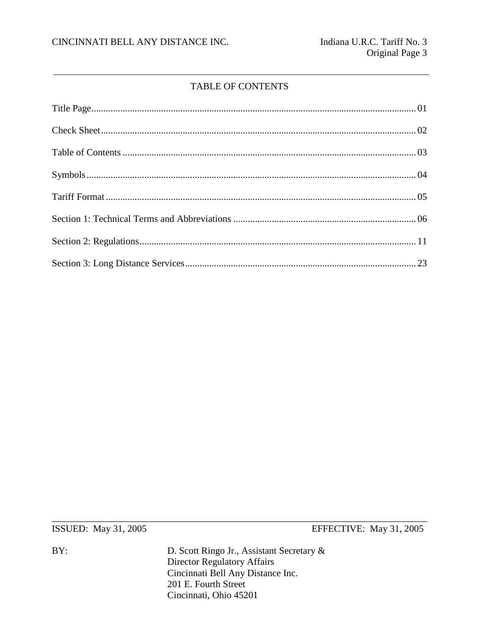# **TABLE OF CONTENTS**

ISSUED: May 31, 2005

 $BY:$ 

EFFECTIVE: May 31, 2005

D. Scott Ringo Jr., Assistant Secretary & Director Regulatory Affairs<br>Cincinnati Bell Any Distance Inc. 201 E. Fourth Street Cincinnati, Ohio 45201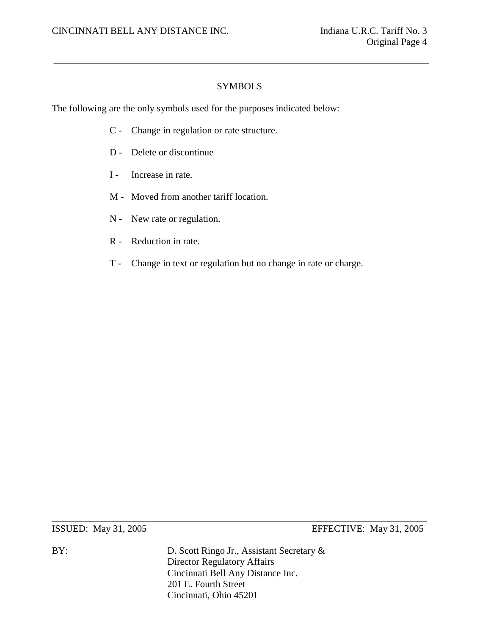# **SYMBOLS**

The following are the only symbols used for the purposes indicated below:

- C Change in regulation or rate structure.
- D Delete or discontinue
- I Increase in rate.
- M Moved from another tariff location.
- N New rate or regulation.
- R Reduction in rate.
- T Change in text or regulation but no change in rate or charge.

ISSUED: May 31, 2005 EFFECTIVE: May 31, 2005

BY: D. Scott Ringo Jr., Assistant Secretary & Director Regulatory Affairs Cincinnati Bell Any Distance Inc. 201 E. Fourth Street Cincinnati, Ohio 45201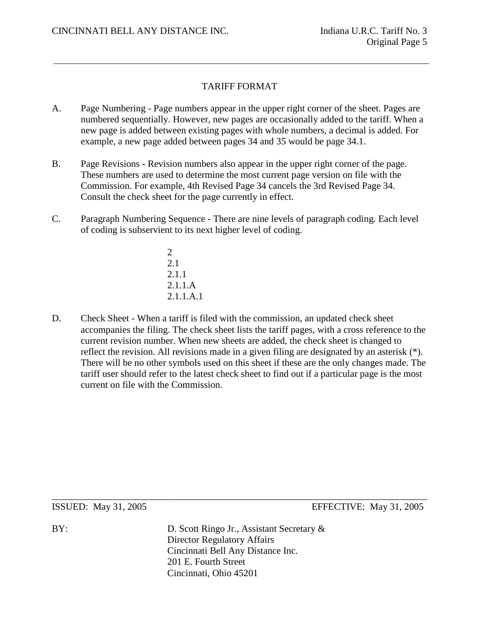# TARIFF FORMAT

- A. Page Numbering Page numbers appear in the upper right corner of the sheet. Pages are numbered sequentially. However, new pages are occasionally added to the tariff. When a new page is added between existing pages with whole numbers, a decimal is added. For example, a new page added between pages 34 and 35 would be page 34.1.
- B. Page Revisions Revision numbers also appear in the upper right corner of the page. These numbers are used to determine the most current page version on file with the Commission. For example, 4th Revised Page 34 cancels the 3rd Revised Page 34. Consult the check sheet for the page currently in effect.
- C. Paragraph Numbering Sequence There are nine levels of paragraph coding. Each level of coding is subservient to its next higher level of coding.
	- 2 2.1 2.1.1 2.1.1.A 2.1.1.A.1
- D. Check Sheet When a tariff is filed with the commission, an updated check sheet accompanies the filing. The check sheet lists the tariff pages, with a cross reference to the current revision number. When new sheets are added, the check sheet is changed to reflect the revision. All revisions made in a given filing are designated by an asterisk (\*). There will be no other symbols used on this sheet if these are the only changes made. The tariff user should refer to the latest check sheet to find out if a particular page is the most current on file with the Commission.

\_\_\_\_\_\_\_\_\_\_\_\_\_\_\_\_\_\_\_\_\_\_\_\_\_\_\_\_\_\_\_\_\_\_\_\_\_\_\_\_\_\_\_\_\_\_\_\_\_\_\_\_\_\_\_\_\_\_\_\_\_\_\_\_\_\_\_\_\_\_\_\_\_\_\_\_\_\_ ISSUED: May 31, 2005 EFFECTIVE: May 31, 2005

BY: D. Scott Ringo Jr., Assistant Secretary & Director Regulatory Affairs Cincinnati Bell Any Distance Inc. 201 E. Fourth Street Cincinnati, Ohio 45201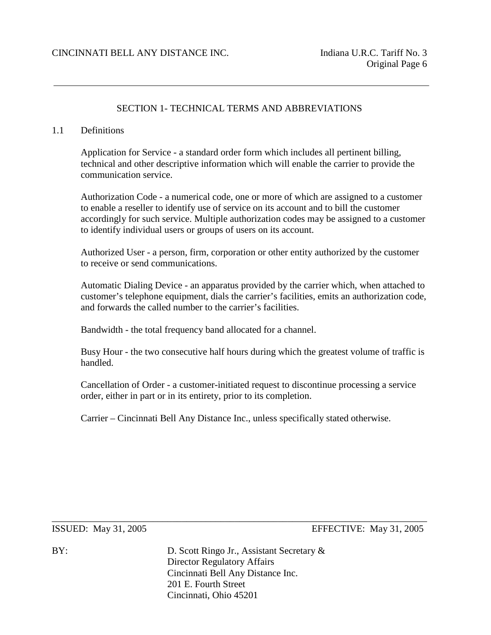#### SECTION 1- TECHNICAL TERMS AND ABBREVIATIONS

#### 1.1 Definitions

Application for Service - a standard order form which includes all pertinent billing, technical and other descriptive information which will enable the carrier to provide the communication service.

Authorization Code - a numerical code, one or more of which are assigned to a customer to enable a reseller to identify use of service on its account and to bill the customer accordingly for such service. Multiple authorization codes may be assigned to a customer to identify individual users or groups of users on its account.

Authorized User - a person, firm, corporation or other entity authorized by the customer to receive or send communications.

Automatic Dialing Device - an apparatus provided by the carrier which, when attached to customer's telephone equipment, dials the carrier's facilities, emits an authorization code, and forwards the called number to the carrier's facilities.

Bandwidth - the total frequency band allocated for a channel.

Busy Hour - the two consecutive half hours during which the greatest volume of traffic is handled.

Cancellation of Order - a customer-initiated request to discontinue processing a service order, either in part or in its entirety, prior to its completion.

Carrier – Cincinnati Bell Any Distance Inc., unless specifically stated otherwise.

ISSUED: May 31, 2005 EFFECTIVE: May 31, 2005

BY: D. Scott Ringo Jr., Assistant Secretary & Director Regulatory Affairs Cincinnati Bell Any Distance Inc. 201 E. Fourth Street Cincinnati, Ohio 45201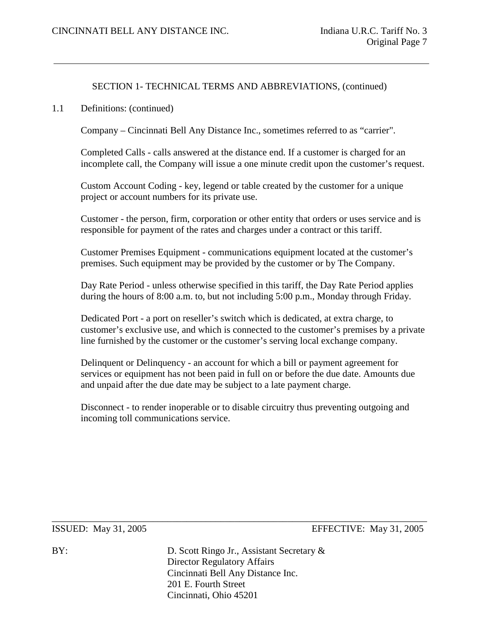1.1 Definitions: (continued)

Company – Cincinnati Bell Any Distance Inc., sometimes referred to as "carrier".

Completed Calls - calls answered at the distance end. If a customer is charged for an incomplete call, the Company will issue a one minute credit upon the customer's request.

Custom Account Coding - key, legend or table created by the customer for a unique project or account numbers for its private use.

Customer - the person, firm, corporation or other entity that orders or uses service and is responsible for payment of the rates and charges under a contract or this tariff.

Customer Premises Equipment - communications equipment located at the customer's premises. Such equipment may be provided by the customer or by The Company.

Day Rate Period - unless otherwise specified in this tariff, the Day Rate Period applies during the hours of 8:00 a.m. to, but not including 5:00 p.m., Monday through Friday.

Dedicated Port - a port on reseller's switch which is dedicated, at extra charge, to customer's exclusive use, and which is connected to the customer's premises by a private line furnished by the customer or the customer's serving local exchange company.

Delinquent or Delinquency - an account for which a bill or payment agreement for services or equipment has not been paid in full on or before the due date. Amounts due and unpaid after the due date may be subject to a late payment charge.

Disconnect - to render inoperable or to disable circuitry thus preventing outgoing and incoming toll communications service.

\_\_\_\_\_\_\_\_\_\_\_\_\_\_\_\_\_\_\_\_\_\_\_\_\_\_\_\_\_\_\_\_\_\_\_\_\_\_\_\_\_\_\_\_\_\_\_\_\_\_\_\_\_\_\_\_\_\_\_\_\_\_\_\_\_\_\_\_\_\_\_\_\_\_\_\_\_\_

ISSUED: May 31, 2005 EFFECTIVE: May 31, 2005

BY: D. Scott Ringo Jr., Assistant Secretary & Director Regulatory Affairs Cincinnati Bell Any Distance Inc. 201 E. Fourth Street Cincinnati, Ohio 45201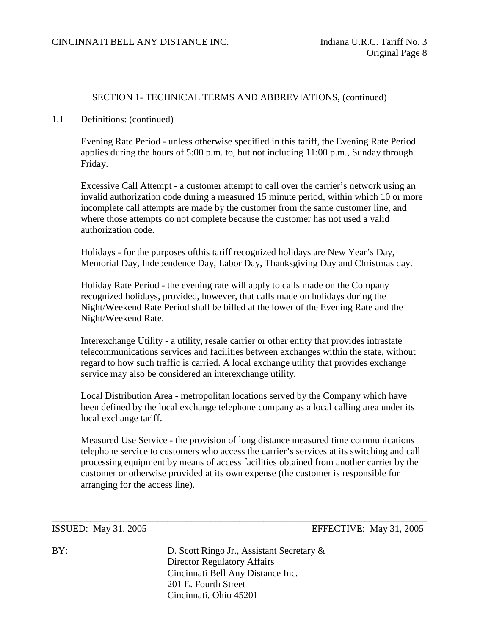#### 1.1 Definitions: (continued)

Evening Rate Period - unless otherwise specified in this tariff, the Evening Rate Period applies during the hours of 5:00 p.m. to, but not including 11:00 p.m., Sunday through Friday.

Excessive Call Attempt - a customer attempt to call over the carrier's network using an invalid authorization code during a measured 15 minute period, within which 10 or more incomplete call attempts are made by the customer from the same customer line, and where those attempts do not complete because the customer has not used a valid authorization code.

Holidays - for the purposes ofthis tariff recognized holidays are New Year's Day, Memorial Day, Independence Day, Labor Day, Thanksgiving Day and Christmas day.

Holiday Rate Period - the evening rate will apply to calls made on the Company recognized holidays, provided, however, that calls made on holidays during the Night/Weekend Rate Period shall be billed at the lower of the Evening Rate and the Night/Weekend Rate.

Interexchange Utility - a utility, resale carrier or other entity that provides intrastate telecommunications services and facilities between exchanges within the state, without regard to how such traffic is carried. A local exchange utility that provides exchange service may also be considered an interexchange utility.

Local Distribution Area - metropolitan locations served by the Company which have been defined by the local exchange telephone company as a local calling area under its local exchange tariff.

Measured Use Service - the provision of long distance measured time communications telephone service to customers who access the carrier's services at its switching and call processing equipment by means of access facilities obtained from another carrier by the customer or otherwise provided at its own expense (the customer is responsible for arranging for the access line).

ISSUED: May 31, 2005 EFFECTIVE: May 31, 2005

BY: D. Scott Ringo Jr., Assistant Secretary & Director Regulatory Affairs Cincinnati Bell Any Distance Inc. 201 E. Fourth Street Cincinnati, Ohio 45201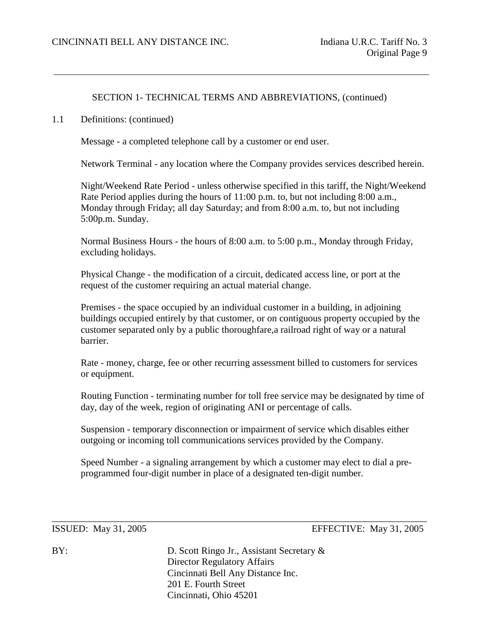1.1 Definitions: (continued)

Message - a completed telephone call by a customer or end user.

Network Terminal - any location where the Company provides services described herein.

Night/Weekend Rate Period - unless otherwise specified in this tariff, the Night/Weekend Rate Period applies during the hours of 11:00 p.m. to, but not including 8:00 a.m., Monday through Friday; all day Saturday; and from 8:00 a.m. to, but not including 5:00p.m. Sunday.

Normal Business Hours - the hours of 8:00 a.m. to 5:00 p.m., Monday through Friday, excluding holidays.

Physical Change - the modification of a circuit, dedicated access line, or port at the request of the customer requiring an actual material change.

Premises - the space occupied by an individual customer in a building, in adjoining buildings occupied entirely by that customer, or on contiguous property occupied by the customer separated only by a public thoroughfare,a railroad right of way or a natural barrier.

Rate - money, charge, fee or other recurring assessment billed to customers for services or equipment.

Routing Function - terminating number for toll free service may be designated by time of day, day of the week, region of originating ANI or percentage of calls.

Suspension - temporary disconnection or impairment of service which disables either outgoing or incoming toll communications services provided by the Company.

Speed Number - a signaling arrangement by which a customer may elect to dial a preprogrammed four-digit number in place of a designated ten-digit number.

ISSUED: May 31, 2005 EFFECTIVE: May 31, 2005

BY: D. Scott Ringo Jr., Assistant Secretary & Director Regulatory Affairs Cincinnati Bell Any Distance Inc. 201 E. Fourth Street Cincinnati, Ohio 45201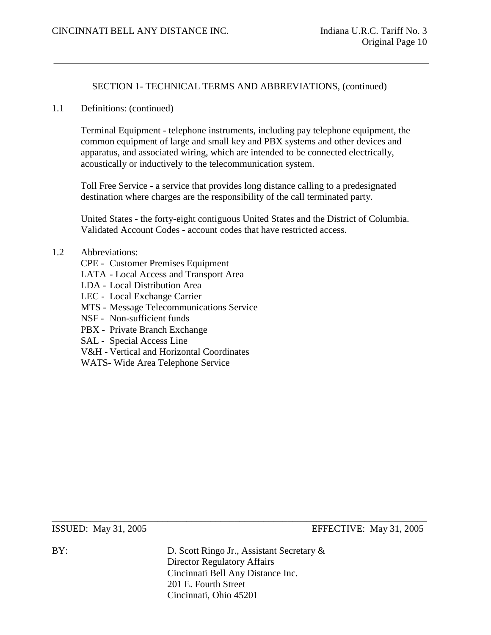1.1 Definitions: (continued)

Terminal Equipment - telephone instruments, including pay telephone equipment, the common equipment of large and small key and PBX systems and other devices and apparatus, and associated wiring, which are intended to be connected electrically, acoustically or inductively to the telecommunication system.

Toll Free Service - a service that provides long distance calling to a predesignated destination where charges are the responsibility of the call terminated party.

United States - the forty-eight contiguous United States and the District of Columbia. Validated Account Codes - account codes that have restricted access.

## 1.2 Abbreviations:

- CPE Customer Premises Equipment
- LATA Local Access and Transport Area
- LDA Local Distribution Area
- LEC Local Exchange Carrier
- MTS Message Telecommunications Service
- NSF Non-sufficient funds
- PBX Private Branch Exchange
- SAL Special Access Line
- V&H Vertical and Horizontal Coordinates
- WATS- Wide Area Telephone Service

ISSUED: May 31, 2005 EFFECTIVE: May 31, 2005

BY: D. Scott Ringo Jr., Assistant Secretary & Director Regulatory Affairs Cincinnati Bell Any Distance Inc. 201 E. Fourth Street Cincinnati, Ohio 45201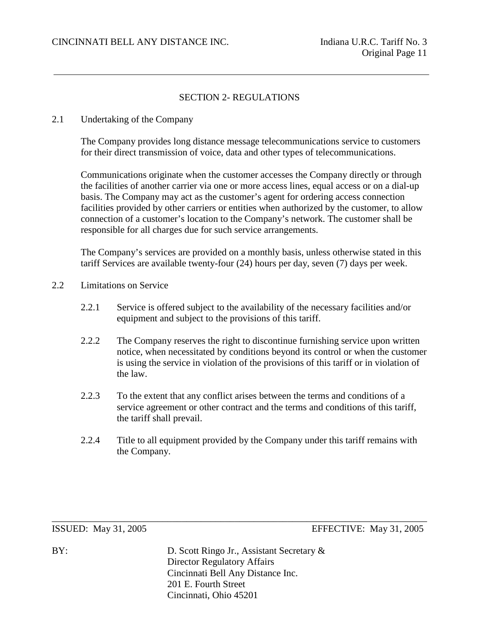# SECTION 2- REGULATIONS

#### 2.1 Undertaking of the Company

The Company provides long distance message telecommunications service to customers for their direct transmission of voice, data and other types of telecommunications.

Communications originate when the customer accesses the Company directly or through the facilities of another carrier via one or more access lines, equal access or on a dial-up basis. The Company may act as the customer's agent for ordering access connection facilities provided by other carriers or entities when authorized by the customer, to allow connection of a customer's location to the Company's network. The customer shall be responsible for all charges due for such service arrangements.

The Company's services are provided on a monthly basis, unless otherwise stated in this tariff Services are available twenty-four (24) hours per day, seven (7) days per week.

- 2.2 Limitations on Service
	- 2.2.1 Service is offered subject to the availability of the necessary facilities and/or equipment and subject to the provisions of this tariff.
	- 2.2.2 The Company reserves the right to discontinue furnishing service upon written notice, when necessitated by conditions beyond its control or when the customer is using the service in violation of the provisions of this tariff or in violation of the law.
	- 2.2.3 To the extent that any conflict arises between the terms and conditions of a service agreement or other contract and the terms and conditions of this tariff, the tariff shall prevail.
	- 2.2.4 Title to all equipment provided by the Company under this tariff remains with the Company.

ISSUED: May 31, 2005 EFFECTIVE: May 31, 2005

BY: D. Scott Ringo Jr., Assistant Secretary & Director Regulatory Affairs Cincinnati Bell Any Distance Inc. 201 E. Fourth Street Cincinnati, Ohio 45201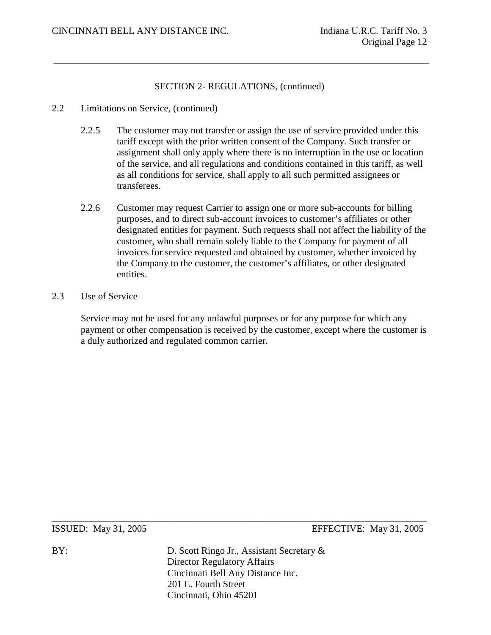#### 2.2 Limitations on Service, (continued)

- 2.2.5 The customer may not transfer or assign the use of service provided under this tariff except with the prior written consent of the Company. Such transfer or assignment shall only apply where there is no interruption in the use or location of the service, and all regulations and conditions contained in this tariff, as well as all conditions for service, shall apply to all such permitted assignees or transferees.
- 2.2.6 Customer may request Carrier to assign one or more sub-accounts for billing purposes, and to direct sub-account invoices to customer's affiliates or other designated entities for payment. Such requests shall not affect the liability of the customer, who shall remain solely liable to the Company for payment of all invoices for service requested and obtained by customer, whether invoiced by the Company to the customer, the customer's affiliates, or other designated entities.

# 2.3 Use of Service

Service may not be used for any unlawful purposes or for any purpose for which any payment or other compensation is received by the customer, except where the customer is a duly authorized and regulated common carrier.

ISSUED: May 31, 2005 EFFECTIVE: May 31, 2005

BY: D. Scott Ringo Jr., Assistant Secretary & Director Regulatory Affairs Cincinnati Bell Any Distance Inc. 201 E. Fourth Street Cincinnati, Ohio 45201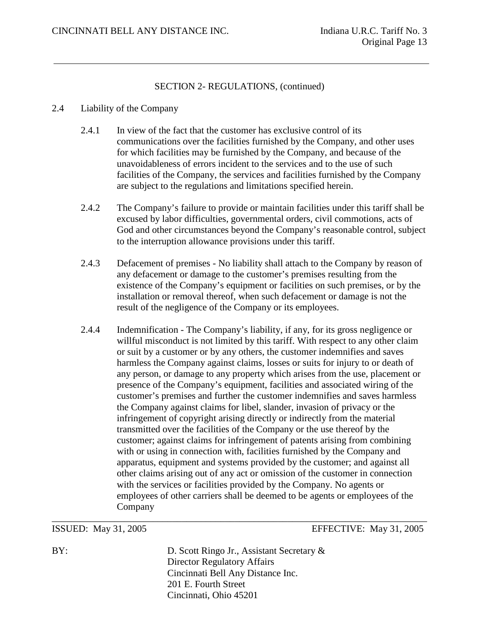#### 2.4 Liability of the Company

- 2.4.1 In view of the fact that the customer has exclusive control of its communications over the facilities furnished by the Company, and other uses for which facilities may be furnished by the Company, and because of the unavoidableness of errors incident to the services and to the use of such facilities of the Company, the services and facilities furnished by the Company are subject to the regulations and limitations specified herein.
- 2.4.2 The Company's failure to provide or maintain facilities under this tariff shall be excused by labor difficulties, governmental orders, civil commotions, acts of God and other circumstances beyond the Company's reasonable control, subject to the interruption allowance provisions under this tariff.
- 2.4.3 Defacement of premises No liability shall attach to the Company by reason of any defacement or damage to the customer's premises resulting from the existence of the Company's equipment or facilities on such premises, or by the installation or removal thereof, when such defacement or damage is not the result of the negligence of the Company or its employees.
- 2.4.4 Indemnification The Company's liability, if any, for its gross negligence or willful misconduct is not limited by this tariff. With respect to any other claim or suit by a customer or by any others, the customer indemnifies and saves harmless the Company against claims, losses or suits for injury to or death of any person, or damage to any property which arises from the use, placement or presence of the Company's equipment, facilities and associated wiring of the customer's premises and further the customer indemnifies and saves harmless the Company against claims for libel, slander, invasion of privacy or the infringement of copyright arising directly or indirectly from the material transmitted over the facilities of the Company or the use thereof by the customer; against claims for infringement of patents arising from combining with or using in connection with, facilities furnished by the Company and apparatus, equipment and systems provided by the customer; and against all other claims arising out of any act or omission of the customer in connection with the services or facilities provided by the Company. No agents or employees of other carriers shall be deemed to be agents or employees of the Company

#### ISSUED: May 31, 2005 EFFECTIVE: May 31, 2005

BY: D. Scott Ringo Jr., Assistant Secretary & Director Regulatory Affairs Cincinnati Bell Any Distance Inc. 201 E. Fourth Street Cincinnati, Ohio 45201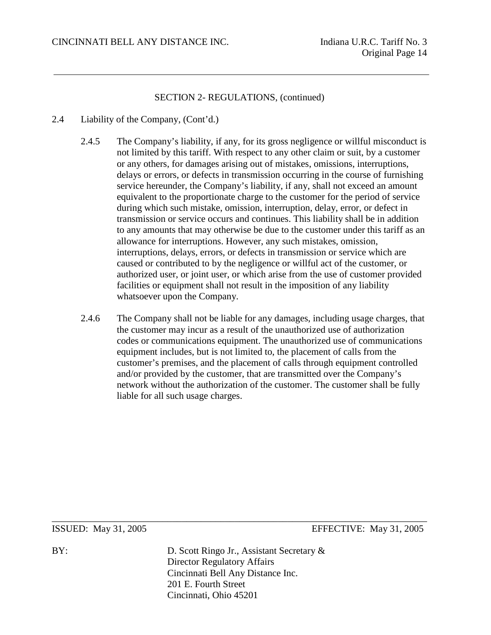- 2.4 Liability of the Company, (Cont'd.)
	- 2.4.5 The Company's liability, if any, for its gross negligence or willful misconduct is not limited by this tariff. With respect to any other claim or suit, by a customer or any others, for damages arising out of mistakes, omissions, interruptions, delays or errors, or defects in transmission occurring in the course of furnishing service hereunder, the Company's liability, if any, shall not exceed an amount equivalent to the proportionate charge to the customer for the period of service during which such mistake, omission, interruption, delay, error, or defect in transmission or service occurs and continues. This liability shall be in addition to any amounts that may otherwise be due to the customer under this tariff as an allowance for interruptions. However, any such mistakes, omission, interruptions, delays, errors, or defects in transmission or service which are caused or contributed to by the negligence or willful act of the customer, or authorized user, or joint user, or which arise from the use of customer provided facilities or equipment shall not result in the imposition of any liability whatsoever upon the Company.
	- 2.4.6 The Company shall not be liable for any damages, including usage charges, that the customer may incur as a result of the unauthorized use of authorization codes or communications equipment. The unauthorized use of communications equipment includes, but is not limited to, the placement of calls from the customer's premises, and the placement of calls through equipment controlled and/or provided by the customer, that are transmitted over the Company's network without the authorization of the customer. The customer shall be fully liable for all such usage charges.

ISSUED: May 31, 2005 EFFECTIVE: May 31, 2005

BY: D. Scott Ringo Jr., Assistant Secretary & Director Regulatory Affairs Cincinnati Bell Any Distance Inc. 201 E. Fourth Street Cincinnati, Ohio 45201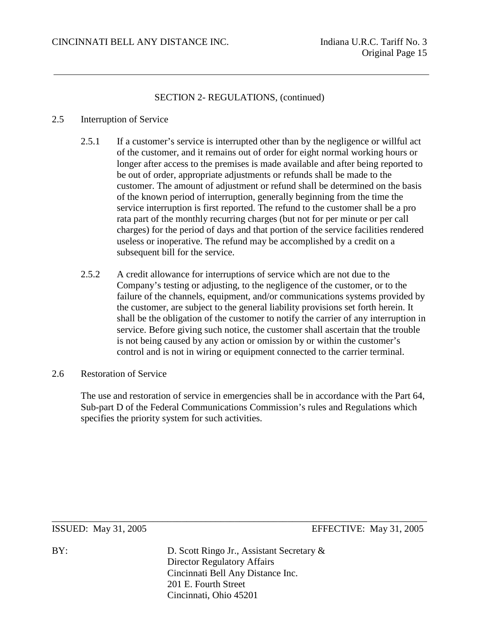#### 2.5 Interruption of Service

- 2.5.1 If a customer's service is interrupted other than by the negligence or willful act of the customer, and it remains out of order for eight normal working hours or longer after access to the premises is made available and after being reported to be out of order, appropriate adjustments or refunds shall be made to the customer. The amount of adjustment or refund shall be determined on the basis of the known period of interruption, generally beginning from the time the service interruption is first reported. The refund to the customer shall be a pro rata part of the monthly recurring charges (but not for per minute or per call charges) for the period of days and that portion of the service facilities rendered useless or inoperative. The refund may be accomplished by a credit on a subsequent bill for the service.
- 2.5.2 A credit allowance for interruptions of service which are not due to the Company's testing or adjusting, to the negligence of the customer, or to the failure of the channels, equipment, and/or communications systems provided by the customer, are subject to the general liability provisions set forth herein. It shall be the obligation of the customer to notify the carrier of any interruption in service. Before giving such notice, the customer shall ascertain that the trouble is not being caused by any action or omission by or within the customer's control and is not in wiring or equipment connected to the carrier terminal.
- 2.6 Restoration of Service

The use and restoration of service in emergencies shall be in accordance with the Part 64, Sub-part D of the Federal Communications Commission's rules and Regulations which specifies the priority system for such activities.

ISSUED: May 31, 2005 EFFECTIVE: May 31, 2005

BY: D. Scott Ringo Jr., Assistant Secretary & Director Regulatory Affairs Cincinnati Bell Any Distance Inc. 201 E. Fourth Street Cincinnati, Ohio 45201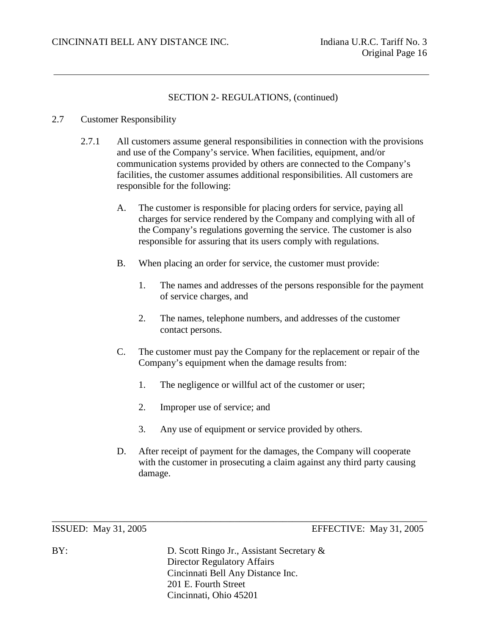#### 2.7 Customer Responsibility

- 2.7.1 All customers assume general responsibilities in connection with the provisions and use of the Company's service. When facilities, equipment, and/or communication systems provided by others are connected to the Company's facilities, the customer assumes additional responsibilities. All customers are responsible for the following:
	- A. The customer is responsible for placing orders for service, paying all charges for service rendered by the Company and complying with all of the Company's regulations governing the service. The customer is also responsible for assuring that its users comply with regulations.
	- B. When placing an order for service, the customer must provide:
		- 1. The names and addresses of the persons responsible for the payment of service charges, and
		- 2. The names, telephone numbers, and addresses of the customer contact persons.
	- C. The customer must pay the Company for the replacement or repair of the Company's equipment when the damage results from:
		- 1. The negligence or willful act of the customer or user;
		- 2. Improper use of service; and
		- 3. Any use of equipment or service provided by others.
	- D. After receipt of payment for the damages, the Company will cooperate with the customer in prosecuting a claim against any third party causing damage.

ISSUED: May 31, 2005 EFFECTIVE: May 31, 2005

BY: D. Scott Ringo Jr., Assistant Secretary & Director Regulatory Affairs Cincinnati Bell Any Distance Inc. 201 E. Fourth Street Cincinnati, Ohio 45201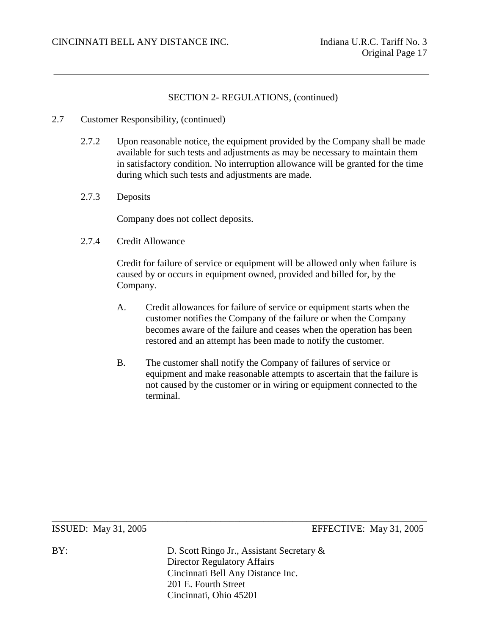- 2.7 Customer Responsibility, (continued)
	- 2.7.2 Upon reasonable notice, the equipment provided by the Company shall be made available for such tests and adjustments as may be necessary to maintain them in satisfactory condition. No interruption allowance will be granted for the time during which such tests and adjustments are made.
	- 2.7.3 Deposits

Company does not collect deposits.

2.7.4 Credit Allowance

Credit for failure of service or equipment will be allowed only when failure is caused by or occurs in equipment owned, provided and billed for, by the Company.

- A. Credit allowances for failure of service or equipment starts when the customer notifies the Company of the failure or when the Company becomes aware of the failure and ceases when the operation has been restored and an attempt has been made to notify the customer.
- B. The customer shall notify the Company of failures of service or equipment and make reasonable attempts to ascertain that the failure is not caused by the customer or in wiring or equipment connected to the terminal.

ISSUED: May 31, 2005 EFFECTIVE: May 31, 2005

BY: D. Scott Ringo Jr., Assistant Secretary & Director Regulatory Affairs Cincinnati Bell Any Distance Inc. 201 E. Fourth Street Cincinnati, Ohio 45201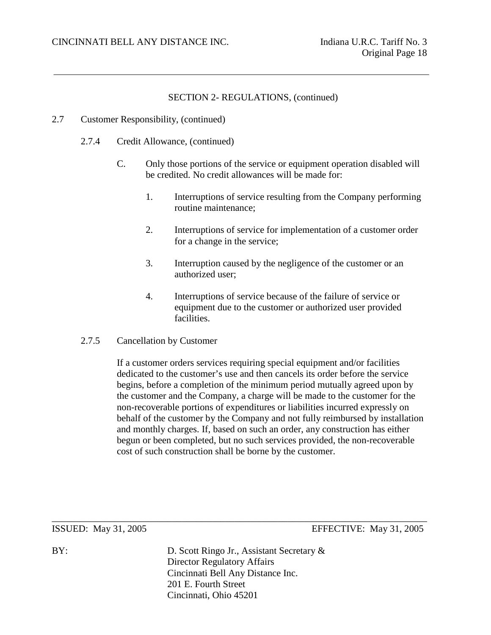- 2.7 Customer Responsibility, (continued)
	- 2.7.4 Credit Allowance, (continued)
		- C. Only those portions of the service or equipment operation disabled will be credited. No credit allowances will be made for:
			- 1. Interruptions of service resulting from the Company performing routine maintenance;
			- 2. Interruptions of service for implementation of a customer order for a change in the service;
			- 3. Interruption caused by the negligence of the customer or an authorized user;
			- 4. Interruptions of service because of the failure of service or equipment due to the customer or authorized user provided facilities.
	- 2.7.5 Cancellation by Customer

If a customer orders services requiring special equipment and/or facilities dedicated to the customer's use and then cancels its order before the service begins, before a completion of the minimum period mutually agreed upon by the customer and the Company, a charge will be made to the customer for the non-recoverable portions of expenditures or liabilities incurred expressly on behalf of the customer by the Company and not fully reimbursed by installation and monthly charges. If, based on such an order, any construction has either begun or been completed, but no such services provided, the non-recoverable cost of such construction shall be borne by the customer.

ISSUED: May 31, 2005 EFFECTIVE: May 31, 2005

BY: D. Scott Ringo Jr., Assistant Secretary & Director Regulatory Affairs Cincinnati Bell Any Distance Inc. 201 E. Fourth Street Cincinnati, Ohio 45201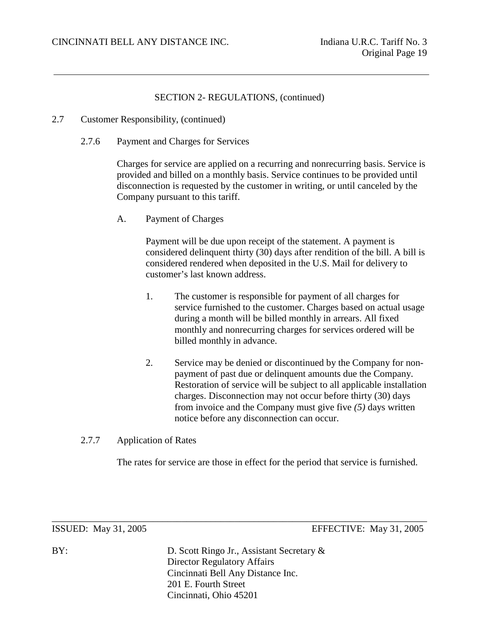- 2.7 Customer Responsibility, (continued)
	- 2.7.6 Payment and Charges for Services

Charges for service are applied on a recurring and nonrecurring basis. Service is provided and billed on a monthly basis. Service continues to be provided until disconnection is requested by the customer in writing, or until canceled by the Company pursuant to this tariff.

A. Payment of Charges

Payment will be due upon receipt of the statement. A payment is considered delinquent thirty (30) days after rendition of the bill. A bill is considered rendered when deposited in the U.S. Mail for delivery to customer's last known address.

- 1. The customer is responsible for payment of all charges for service furnished to the customer. Charges based on actual usage during a month will be billed monthly in arrears. All fixed monthly and nonrecurring charges for services ordered will be billed monthly in advance.
- 2. Service may be denied or discontinued by the Company for nonpayment of past due or delinquent amounts due the Company. Restoration of service will be subject to all applicable installation charges. Disconnection may not occur before thirty (30) days from invoice and the Company must give five *(5)* days written notice before any disconnection can occur.
- 2.7.7 Application of Rates

The rates for service are those in effect for the period that service is furnished.

ISSUED: May 31, 2005 EFFECTIVE: May 31, 2005

BY: D. Scott Ringo Jr., Assistant Secretary & Director Regulatory Affairs Cincinnati Bell Any Distance Inc. 201 E. Fourth Street Cincinnati, Ohio 45201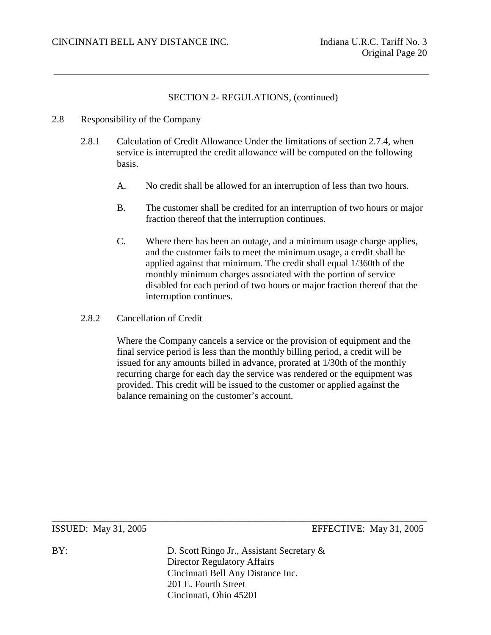#### 2.8 Responsibility of the Company

- 2.8.1 Calculation of Credit Allowance Under the limitations of section 2.7.4, when service is interrupted the credit allowance will be computed on the following basis.
	- A. No credit shall be allowed for an interruption of less than two hours.
	- B. The customer shall be credited for an interruption of two hours or major fraction thereof that the interruption continues.
	- C. Where there has been an outage, and a minimum usage charge applies, and the customer fails to meet the minimum usage, a credit shall be applied against that minimum. The credit shall equal 1/360th of the monthly minimum charges associated with the portion of service disabled for each period of two hours or major fraction thereof that the interruption continues.
- 2.8.2 Cancellation of Credit

Where the Company cancels a service or the provision of equipment and the final service period is less than the monthly billing period, a credit will be issued for any amounts billed in advance, prorated at 1/30th of the monthly recurring charge for each day the service was rendered or the equipment was provided. This credit will be issued to the customer or applied against the balance remaining on the customer's account.

ISSUED: May 31, 2005 EFFECTIVE: May 31, 2005

BY: D. Scott Ringo Jr., Assistant Secretary & Director Regulatory Affairs Cincinnati Bell Any Distance Inc. 201 E. Fourth Street Cincinnati, Ohio 45201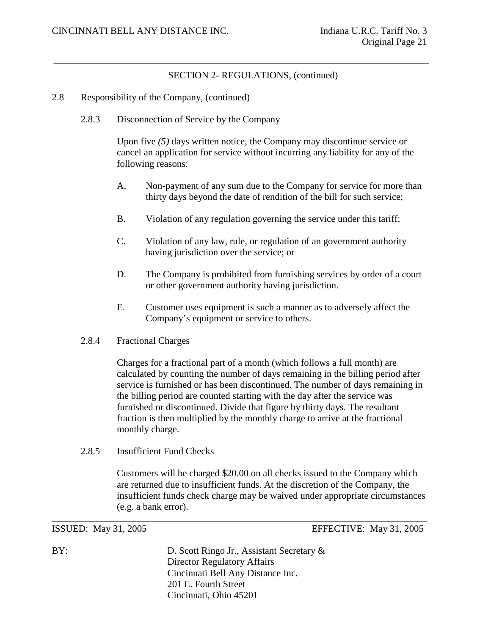- 2.8 Responsibility of the Company, (continued)
	- 2.8.3 Disconnection of Service by the Company

Upon five *(5)* days written notice, the Company may discontinue service or cancel an application for service without incurring any liability for any of the following reasons:

- A. Non-payment of any sum due to the Company for service for more than thirty days beyond the date of rendition of the bill for such service;
- B. Violation of any regulation governing the service under this tariff;
- C. Violation of any law, rule, or regulation of an government authority having jurisdiction over the service; or
- D. The Company is prohibited from furnishing services by order of a court or other government authority having jurisdiction.
- E. Customer uses equipment is such a manner as to adversely affect the Company's equipment or service to others.

#### 2.8.4 Fractional Charges

Charges for a fractional part of a month (which follows a full month) are calculated by counting the number of days remaining in the billing period after service is furnished or has been discontinued. The number of days remaining in the billing period are counted starting with the day after the service was furnished or discontinued. Divide that figure by thirty days. The resultant fraction is then multiplied by the monthly charge to arrive at the fractional monthly charge.

2.8.5 Insufficient Fund Checks

Customers will be charged \$20.00 on all checks issued to the Company which are returned due to insufficient funds. At the discretion of the Company, the insufficient funds check charge may be waived under appropriate circumstances (e.g. a bank error).

ISSUED: May 31, 2005 EFFECTIVE: May 31, 2005

BY: D. Scott Ringo Jr., Assistant Secretary & Director Regulatory Affairs Cincinnati Bell Any Distance Inc. 201 E. Fourth Street Cincinnati, Ohio 45201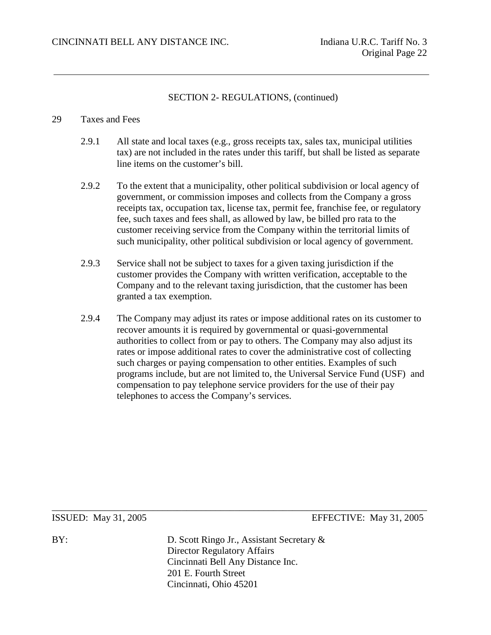#### 29 Taxes and Fees

- 2.9.1 All state and local taxes (e.g., gross receipts tax, sales tax, municipal utilities tax) are not included in the rates under this tariff, but shall be listed as separate line items on the customer's bill.
- 2.9.2 To the extent that a municipality, other political subdivision or local agency of government, or commission imposes and collects from the Company a gross receipts tax, occupation tax, license tax, permit fee, franchise fee, or regulatory fee, such taxes and fees shall, as allowed by law, be billed pro rata to the customer receiving service from the Company within the territorial limits of such municipality, other political subdivision or local agency of government.
- 2.9.3 Service shall not be subject to taxes for a given taxing jurisdiction if the customer provides the Company with written verification, acceptable to the Company and to the relevant taxing jurisdiction, that the customer has been granted a tax exemption.
- 2.9.4 The Company may adjust its rates or impose additional rates on its customer to recover amounts it is required by governmental or quasi-governmental authorities to collect from or pay to others. The Company may also adjust its rates or impose additional rates to cover the administrative cost of collecting such charges or paying compensation to other entities. Examples of such programs include, but are not limited to, the Universal Service Fund (USF) and compensation to pay telephone service providers for the use of their pay telephones to access the Company's services.

ISSUED: May 31, 2005 EFFECTIVE: May 31, 2005

BY: D. Scott Ringo Jr., Assistant Secretary & Director Regulatory Affairs Cincinnati Bell Any Distance Inc. 201 E. Fourth Street Cincinnati, Ohio 45201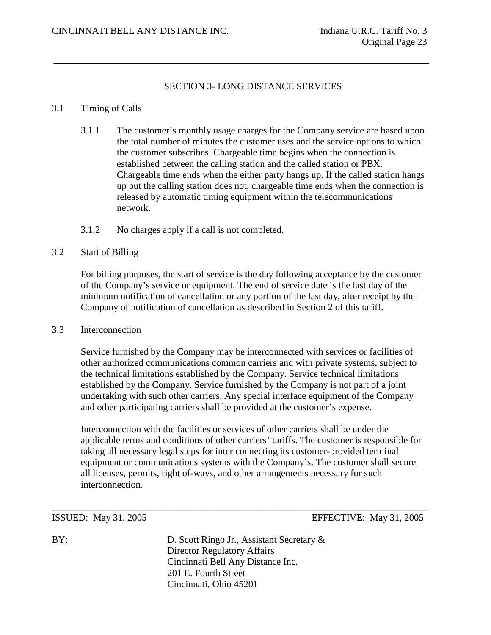#### SECTION 3- LONG DISTANCE SERVICES

## 3.1 Timing of Calls

- 3.1.1 The customer's monthly usage charges for the Company service are based upon the total number of minutes the customer uses and the service options to which the customer subscribes. Chargeable time begins when the connection is established between the calling station and the called station or PBX. Chargeable time ends when the either party hangs up. If the called station hangs up but the calling station does not, chargeable time ends when the connection is released by automatic timing equipment within the telecommunications network.
- 3.1.2 No charges apply if a call is not completed.

#### 3.2 Start of Billing

For billing purposes, the start of service is the day following acceptance by the customer of the Company's service or equipment. The end of service date is the last day of the minimum notification of cancellation or any portion of the last day, after receipt by the Company of notification of cancellation as described in Section 2 of this tariff.

#### 3.3 Interconnection

Service furnished by the Company may be interconnected with services or facilities of other authorized communications common carriers and with private systems, subject to the technical limitations established by the Company. Service technical limitations established by the Company. Service furnished by the Company is not part of a joint undertaking with such other carriers. Any special interface equipment of the Company and other participating carriers shall be provided at the customer's expense.

Interconnection with the facilities or services of other carriers shall be under the applicable terms and conditions of other carriers' tariffs. The customer is responsible for taking all necessary legal steps for inter connecting its customer-provided terminal equipment or communications systems with the Company's. The customer shall secure all licenses, permits, right of-ways, and other arrangements necessary for such interconnection.

ISSUED: May 31, 2005 EFFECTIVE: May 31, 2005

BY: D. Scott Ringo Jr., Assistant Secretary & Director Regulatory Affairs Cincinnati Bell Any Distance Inc. 201 E. Fourth Street Cincinnati, Ohio 45201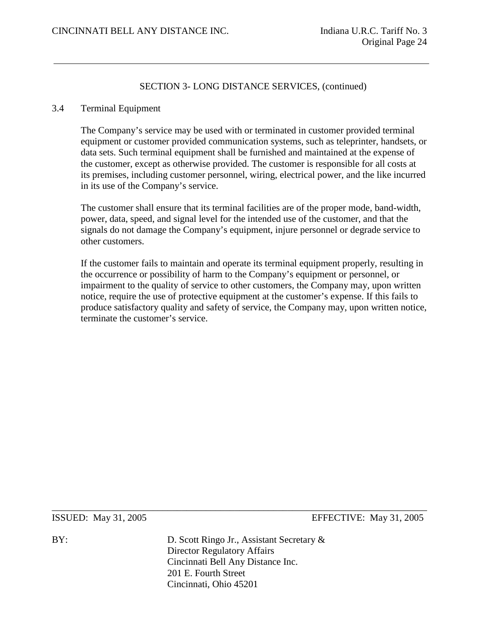#### 3.4 Terminal Equipment

The Company's service may be used with or terminated in customer provided terminal equipment or customer provided communication systems, such as teleprinter, handsets, or data sets. Such terminal equipment shall be furnished and maintained at the expense of the customer, except as otherwise provided. The customer is responsible for all costs at its premises, including customer personnel, wiring, electrical power, and the like incurred in its use of the Company's service.

The customer shall ensure that its terminal facilities are of the proper mode, band-width, power, data, speed, and signal level for the intended use of the customer, and that the signals do not damage the Company's equipment, injure personnel or degrade service to other customers.

If the customer fails to maintain and operate its terminal equipment properly, resulting in the occurrence or possibility of harm to the Company's equipment or personnel, or impairment to the quality of service to other customers, the Company may, upon written notice, require the use of protective equipment at the customer's expense. If this fails to produce satisfactory quality and safety of service, the Company may, upon written notice, terminate the customer's service.

ISSUED: May 31, 2005 EFFECTIVE: May 31, 2005

BY: D. Scott Ringo Jr., Assistant Secretary & Director Regulatory Affairs Cincinnati Bell Any Distance Inc. 201 E. Fourth Street Cincinnati, Ohio 45201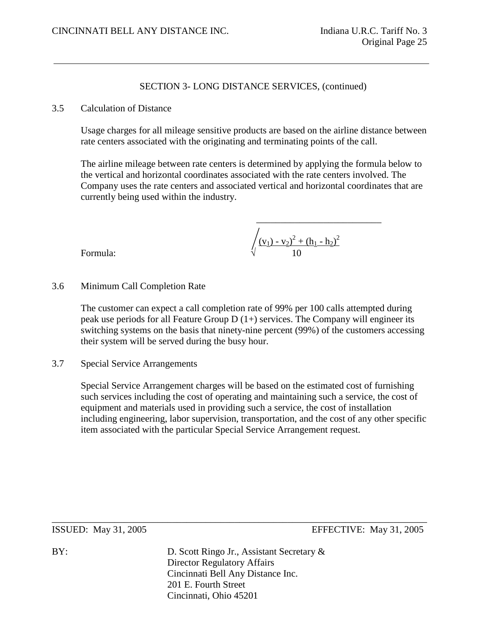#### 3.5 Calculation of Distance

Usage charges for all mileage sensitive products are based on the airline distance between rate centers associated with the originating and terminating points of the call.

The airline mileage between rate centers is determined by applying the formula below to the vertical and horizontal coordinates associated with the rate centers involved. The Company uses the rate centers and associated vertical and horizontal coordinates that are currently being used within the industry.

Formula: 
$$
\sqrt{\frac{(v_1) - v_2)^2 + (h_1 - h_2)^2}{10}}
$$

Formula:

## 3.6 Minimum Call Completion Rate

The customer can expect a call completion rate of 99% per 100 calls attempted during peak use periods for all Feature Group  $D(1+)$  services. The Company will engineer its switching systems on the basis that ninety-nine percent (99%) of the customers accessing their system will be served during the busy hour.

#### 3.7 Special Service Arrangements

Special Service Arrangement charges will be based on the estimated cost of furnishing such services including the cost of operating and maintaining such a service, the cost of equipment and materials used in providing such a service, the cost of installation including engineering, labor supervision, transportation, and the cost of any other specific item associated with the particular Special Service Arrangement request.

ISSUED: May 31, 2005 EFFECTIVE: May 31, 2005

BY: D. Scott Ringo Jr., Assistant Secretary & Director Regulatory Affairs Cincinnati Bell Any Distance Inc. 201 E. Fourth Street Cincinnati, Ohio 45201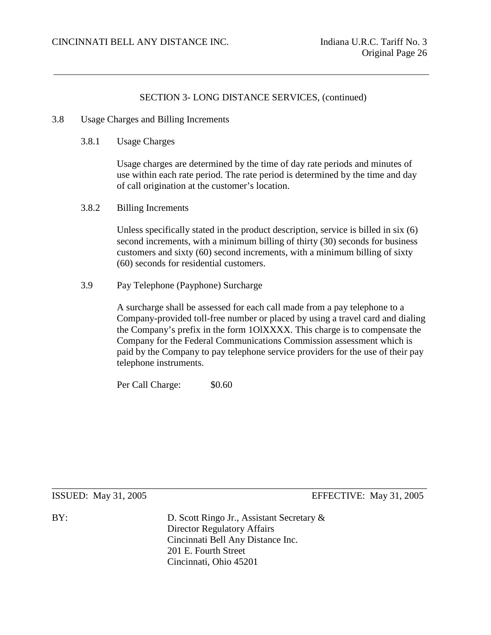- 3.8 Usage Charges and Billing Increments
	- 3.8.1 Usage Charges

Usage charges are determined by the time of day rate periods and minutes of use within each rate period. The rate period is determined by the time and day of call origination at the customer's location.

3.8.2 Billing Increments

Unless specifically stated in the product description, service is billed in six (6) second increments, with a minimum billing of thirty (30) seconds for business customers and sixty (60) second increments, with a minimum billing of sixty (60) seconds for residential customers.

3.9 Pay Telephone (Payphone) Surcharge

A surcharge shall be assessed for each call made from a pay telephone to a Company-provided toll-free number or placed by using a travel card and dialing the Company's prefix in the form 1OlXXXX. This charge is to compensate the Company for the Federal Communications Commission assessment which is paid by the Company to pay telephone service providers for the use of their pay telephone instruments.

Per Call Charge:  $$0.60$ 

\_\_\_\_\_\_\_\_\_\_\_\_\_\_\_\_\_\_\_\_\_\_\_\_\_\_\_\_\_\_\_\_\_\_\_\_\_\_\_\_\_\_\_\_\_\_\_\_\_\_\_\_\_\_\_\_\_\_\_\_\_\_\_\_\_\_\_\_\_\_\_\_\_\_\_\_\_\_ ISSUED: May 31, 2005 EFFECTIVE: May 31, 2005

BY: D. Scott Ringo Jr., Assistant Secretary & Director Regulatory Affairs Cincinnati Bell Any Distance Inc. 201 E. Fourth Street Cincinnati, Ohio 45201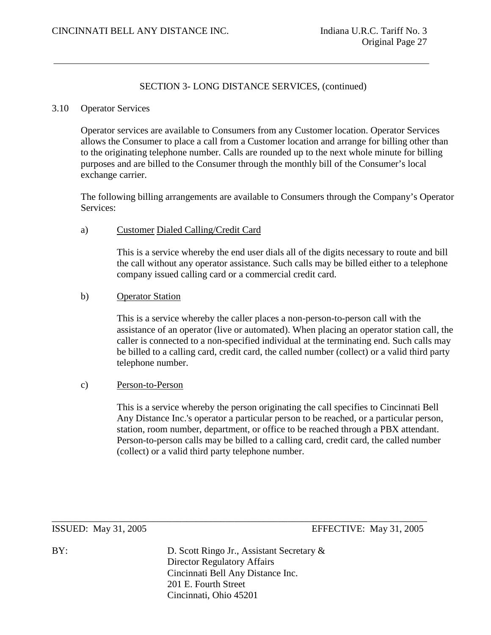#### 3.10 Operator Services

Operator services are available to Consumers from any Customer location. Operator Services allows the Consumer to place a call from a Customer location and arrange for billing other than to the originating telephone number. Calls are rounded up to the next whole minute for billing purposes and are billed to the Consumer through the monthly bill of the Consumer's local exchange carrier.

The following billing arrangements are available to Consumers through the Company's Operator Services:

#### a) Customer Dialed Calling/Credit Card

This is a service whereby the end user dials all of the digits necessary to route and bill the call without any operator assistance. Such calls may be billed either to a telephone company issued calling card or a commercial credit card.

#### b) Operator Station

This is a service whereby the caller places a non-person-to-person call with the assistance of an operator (live or automated). When placing an operator station call, the caller is connected to a non-specified individual at the terminating end. Such calls may be billed to a calling card, credit card, the called number (collect) or a valid third party telephone number.

#### c) Person-to-Person

This is a service whereby the person originating the call specifies to Cincinnati Bell Any Distance Inc.'s operator a particular person to be reached, or a particular person, station, room number, department, or office to be reached through a PBX attendant. Person-to-person calls may be billed to a calling card, credit card, the called number (collect) or a valid third party telephone number.

ISSUED: May 31, 2005 EFFECTIVE: May 31, 2005

BY: D. Scott Ringo Jr., Assistant Secretary & Director Regulatory Affairs Cincinnati Bell Any Distance Inc. 201 E. Fourth Street Cincinnati, Ohio 45201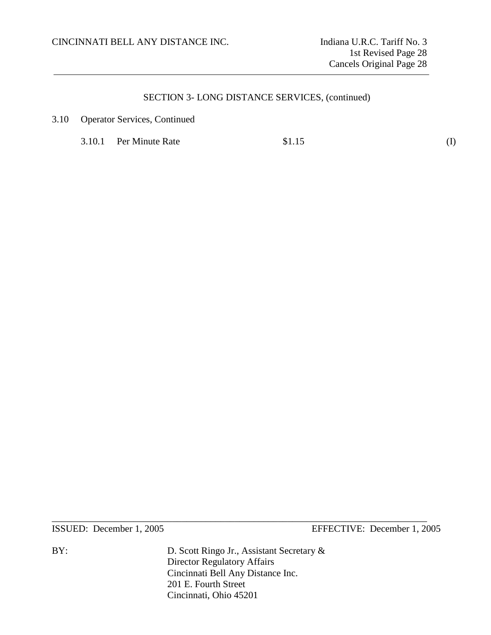3.10 Operator Services, Continued

3.10.1 Per Minute Rate \$1.15 (I)

ISSUED: December 1, 2005 EFFECTIVE: December 1, 2005

BY: D. Scott Ringo Jr., Assistant Secretary & Director Regulatory Affairs Cincinnati Bell Any Distance Inc. 201 E. Fourth Street Cincinnati, Ohio 45201